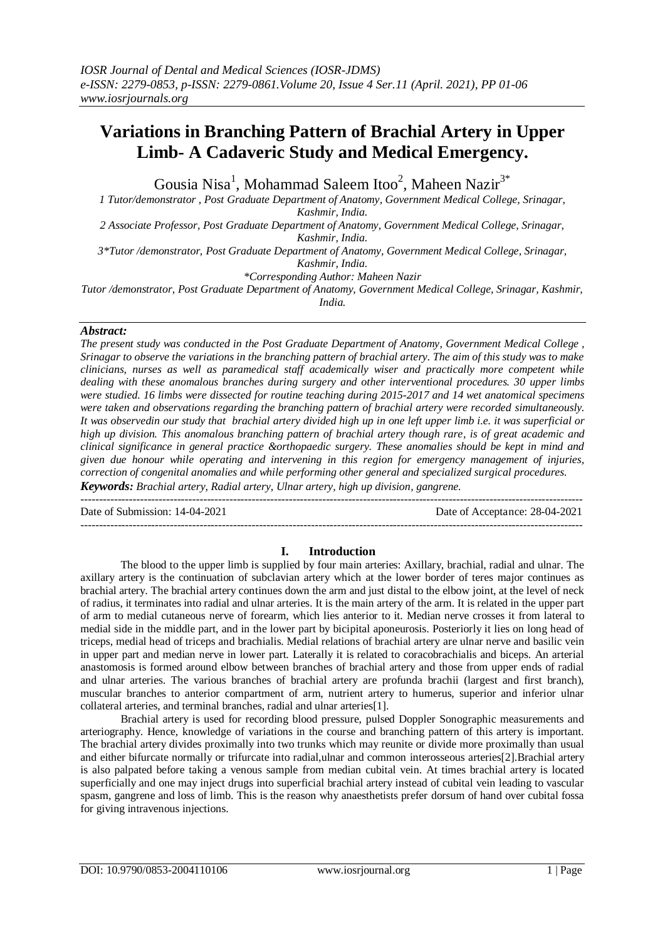# **Variations in Branching Pattern of Brachial Artery in Upper Limb- A Cadaveric Study and Medical Emergency.**

Gousia Nisa<sup>1</sup>, Mohammad Saleem Itoo<sup>2</sup>, Maheen Nazir<sup>3\*</sup>

*1 Tutor/demonstrator , Post Graduate Department of Anatomy, Government Medical College, Srinagar, Kashmir, India.*

*2 Associate Professor, Post Graduate Department of Anatomy, Government Medical College, Srinagar, Kashmir, India.*

*3\*Tutor /demonstrator, Post Graduate Department of Anatomy, Government Medical College, Srinagar,* 

*Kashmir, India.*

*\*Corresponding Author: Maheen Nazir*

*Tutor /demonstrator, Post Graduate Department of Anatomy, Government Medical College, Srinagar, Kashmir,* 

*India.*

#### *Abstract:*

*The present study was conducted in the Post Graduate Department of Anatomy, Government Medical College , Srinagar to observe the variations in the branching pattern of brachial artery. The aim of this study was to make clinicians, nurses as well as paramedical staff academically wiser and practically more competent while dealing with these anomalous branches during surgery and other interventional procedures. 30 upper limbs were studied. 16 limbs were dissected for routine teaching during 2015-2017 and 14 wet anatomical specimens were taken and observations regarding the branching pattern of brachial artery were recorded simultaneously. It was observedin our study that brachial artery divided high up in one left upper limb i.e. it was superficial or high up division. This anomalous branching pattern of brachial artery though rare, is of great academic and clinical significance in general practice &orthopaedic surgery. These anomalies should be kept in mind and given due honour while operating and intervening in this region for emergency management of injuries, correction of congenital anomalies and while performing other general and specialized surgical procedures. Keywords: Brachial artery, Radial artery, Ulnar artery, high up division, gangrene.*

---------------------------------------------------------------------------------------------------------------------------------------

Date of Submission: 14-04-2021 Date of Acceptance: 28-04-2021

#### **I. Introduction**

---------------------------------------------------------------------------------------------------------------------------------------

The blood to the upper limb is supplied by four main arteries: Axillary, brachial, radial and ulnar. The axillary artery is the continuation of subclavian artery which at the lower border of teres major continues as brachial artery. The brachial artery continues down the arm and just distal to the elbow joint, at the level of neck of radius, it terminates into radial and ulnar arteries. It is the main artery of the arm. It is related in the upper part of arm to medial cutaneous nerve of forearm, which lies anterior to it. Median nerve crosses it from lateral to medial side in the middle part, and in the lower part by bicipital aponeurosis. Posteriorly it lies on long head of triceps, medial head of triceps and brachialis. Medial relations of brachial artery are ulnar nerve and basilic vein in upper part and median nerve in lower part. Laterally it is related to coracobrachialis and biceps. An arterial anastomosis is formed around elbow between branches of brachial artery and those from upper ends of radial and ulnar arteries. The various branches of brachial artery are profunda brachii (largest and first branch), muscular branches to anterior compartment of arm, nutrient artery to humerus, superior and inferior ulnar collateral arteries, and terminal branches, radial and ulnar arteries[1].

Brachial artery is used for recording blood pressure, pulsed Doppler Sonographic measurements and arteriography. Hence, knowledge of variations in the course and branching pattern of this artery is important. The brachial artery divides proximally into two trunks which may reunite or divide more proximally than usual and either bifurcate normally or trifurcate into radial,ulnar and common interosseous arteries[2].Brachial artery is also palpated before taking a venous sample from median cubital vein. At times brachial artery is located superficially and one may inject drugs into superficial brachial artery instead of cubital vein leading to vascular spasm, gangrene and loss of limb. This is the reason why anaesthetists prefer dorsum of hand over cubital fossa for giving intravenous injections.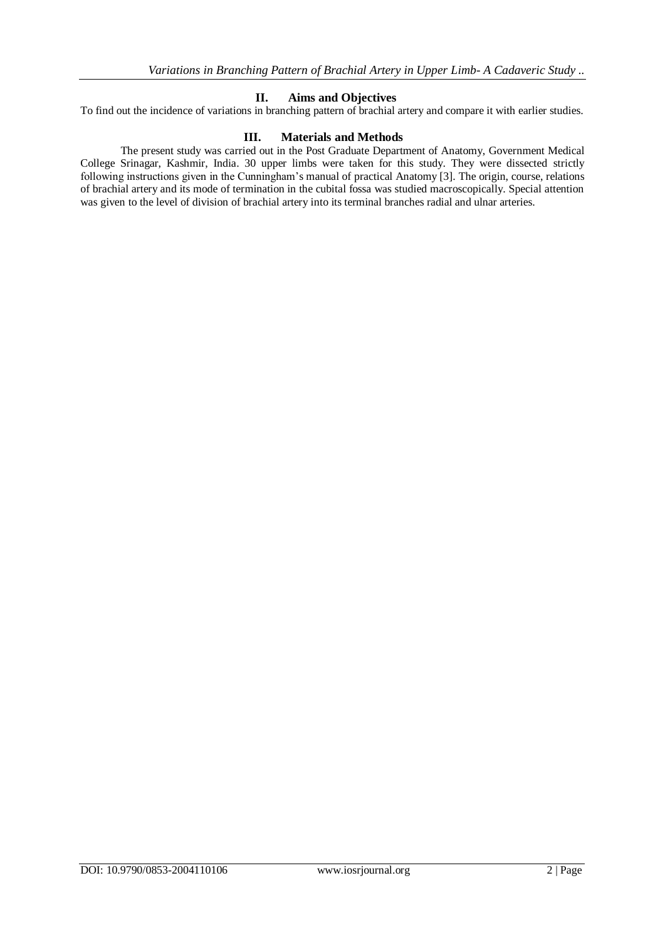### **II. Aims and Objectives**

To find out the incidence of variations in branching pattern of brachial artery and compare it with earlier studies.

#### **III. Materials and Methods**

The present study was carried out in the Post Graduate Department of Anatomy, Government Medical College Srinagar, Kashmir, India. 30 upper limbs were taken for this study. They were dissected strictly following instructions given in the Cunningham's manual of practical Anatomy [3]. The origin, course, relations of brachial artery and its mode of termination in the cubital fossa was studied macroscopically. Special attention was given to the level of division of brachial artery into its terminal branches radial and ulnar arteries.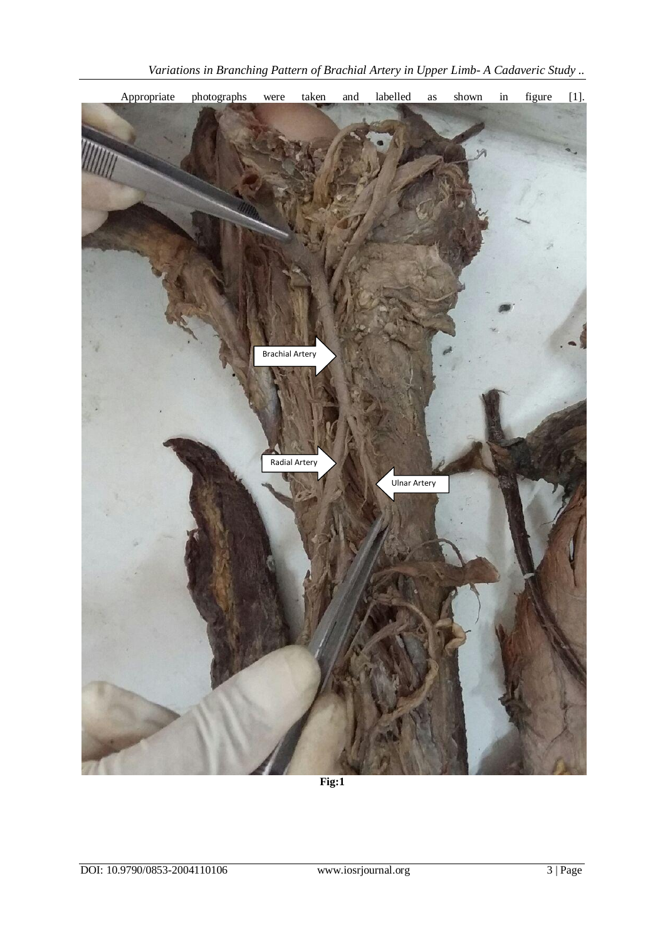

**Fig:1**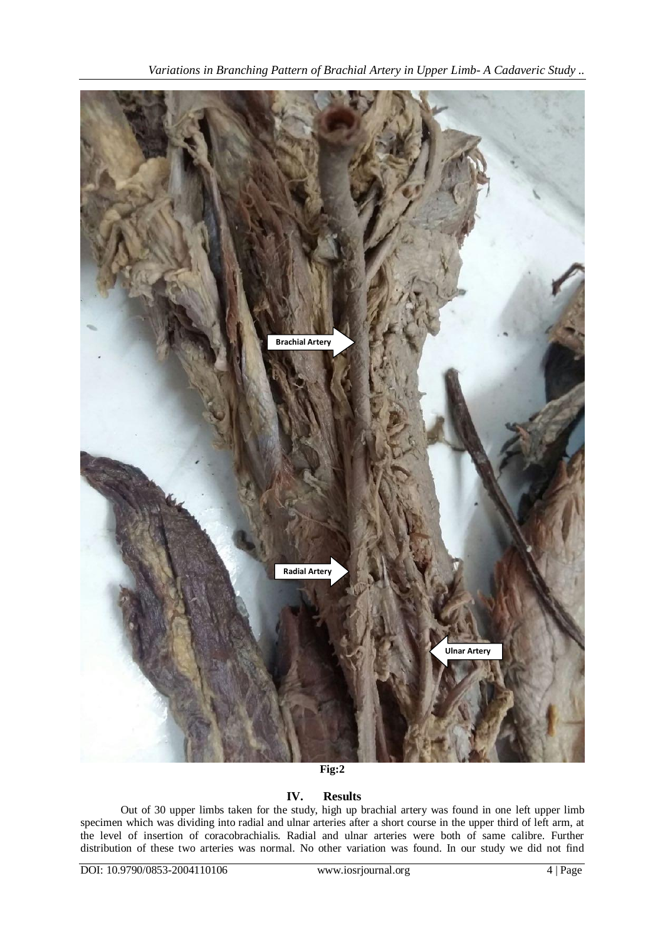

**Fig:2**

## **IV. Results**

Out of 30 upper limbs taken for the study, high up brachial artery was found in one left upper limb specimen which was dividing into radial and ulnar arteries after a short course in the upper third of left arm, at the level of insertion of coracobrachialis. Radial and ulnar arteries were both of same calibre. Further distribution of these two arteries was normal. No other variation was found. In our study we did not find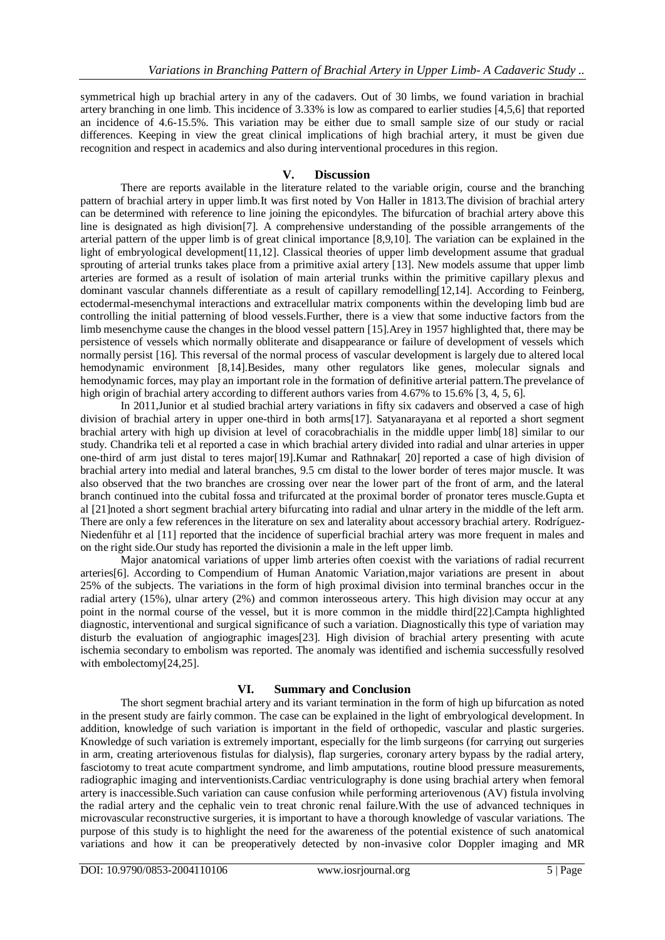symmetrical high up brachial artery in any of the cadavers. Out of 30 limbs, we found variation in brachial artery branching in one limb. This incidence of 3.33% is low as compared to earlier studies [4,5,6] that reported an incidence of 4.6-15.5%. This variation may be either due to small sample size of our study or racial differences. Keeping in view the great clinical implications of high brachial artery, it must be given due recognition and respect in academics and also during interventional procedures in this region.

#### **V. Discussion**

There are reports available in the literature related to the variable origin, course and the branching pattern of brachial artery in upper limb.It was first noted by Von Haller in 1813.The division of brachial artery can be determined with reference to line joining the epicondyles. The bifurcation of brachial artery above this line is designated as high division[7]. A comprehensive understanding of the possible arrangements of the arterial pattern of the upper limb is of great clinical importance [8,9,10]. The variation can be explained in the light of embryological development[11,12]. Classical theories of upper limb development assume that gradual sprouting of arterial trunks takes place from a primitive axial artery [13]. New models assume that upper limb arteries are formed as a result of isolation of main arterial trunks within the primitive capillary plexus and dominant vascular channels differentiate as a result of capillary remodelling[12,14]. According to Feinberg, ectodermal-mesenchymal interactions and extracellular matrix components within the developing limb bud are controlling the initial patterning of blood vessels.Further, there is a view that some inductive factors from the limb mesenchyme cause the changes in the blood vessel pattern [15].Arey in 1957 highlighted that, there may be persistence of vessels which normally obliterate and disappearance or failure of development of vessels which normally persist [16]. This reversal of the normal process of vascular development is largely due to altered local hemodynamic environment [8,14].Besides, many other regulators like genes, molecular signals and hemodynamic forces, may play an important role in the formation of definitive arterial pattern.The prevelance of high origin of brachial artery according to different authors varies from 4.67% to 15.6% [3, 4, 5, 6].

In 2011,Junior et al studied brachial artery variations in fifty six cadavers and observed a case of high division of brachial artery in upper one-third in both arms[17]. Satyanarayana et al reported a short segment brachial artery with high up division at level of coracobrachialis in the middle upper limb[18] similar to our study. Chandrika teli et al reported a case in which brachial artery divided into radial and ulnar arteries in upper one-third of arm just distal to teres major[19].Kumar and Rathnakar[ 20] reported a case of high division of brachial artery into medial and lateral branches, 9.5 cm distal to the lower border of teres major muscle. It was also observed that the two branches are crossing over near the lower part of the front of arm, and the lateral branch continued into the cubital fossa and trifurcated at the proximal border of pronator teres muscle.Gupta et al [21]noted a short segment brachial artery bifurcating into radial and ulnar artery in the middle of the left arm. There are only a few references in the literature on sex and laterality about accessory brachial artery. Rodríguez-Niedenführ et al [11] reported that the incidence of superficial brachial artery was more frequent in males and on the right side.Our study has reported the divisionin a male in the left upper limb.

Major anatomical variations of upper limb arteries often coexist with the variations of radial recurrent arteries[6]. According to Compendium of Human Anatomic Variation,major variations are present in about 25% of the subjects. The variations in the form of high proximal division into terminal branches occur in the radial artery (15%), ulnar artery (2%) and common interosseous artery. This high division may occur at any point in the normal course of the vessel, but it is more common in the middle third[22].Campta highlighted diagnostic, interventional and surgical significance of such a variation. Diagnostically this type of variation may disturb the evaluation of angiographic images[23]. High division of brachial artery presenting with acute ischemia secondary to embolism was reported. The anomaly was identified and ischemia successfully resolved with embolectomy[24,25].

#### **VI. Summary and Conclusion**

The short segment brachial artery and its variant termination in the form of high up bifurcation as noted in the present study are fairly common. The case can be explained in the light of embryological development. In addition, knowledge of such variation is important in the field of orthopedic, vascular and plastic surgeries. Knowledge of such variation is extremely important, especially for the limb surgeons (for carrying out surgeries in arm, creating arteriovenous fistulas for dialysis), flap surgeries, coronary artery bypass by the radial artery, fasciotomy to treat acute compartment syndrome, and limb amputations, routine blood pressure measurements, radiographic imaging and interventionists.Cardiac ventriculography is done using brachial artery when femoral artery is inaccessible.Such variation can cause confusion while performing arteriovenous (AV) fistula involving the radial artery and the cephalic vein to treat chronic renal failure.With the use of advanced techniques in microvascular reconstructive surgeries, it is important to have a thorough knowledge of vascular variations. The purpose of this study is to highlight the need for the awareness of the potential existence of such anatomical variations and how it can be preoperatively detected by non-invasive color Doppler imaging and MR